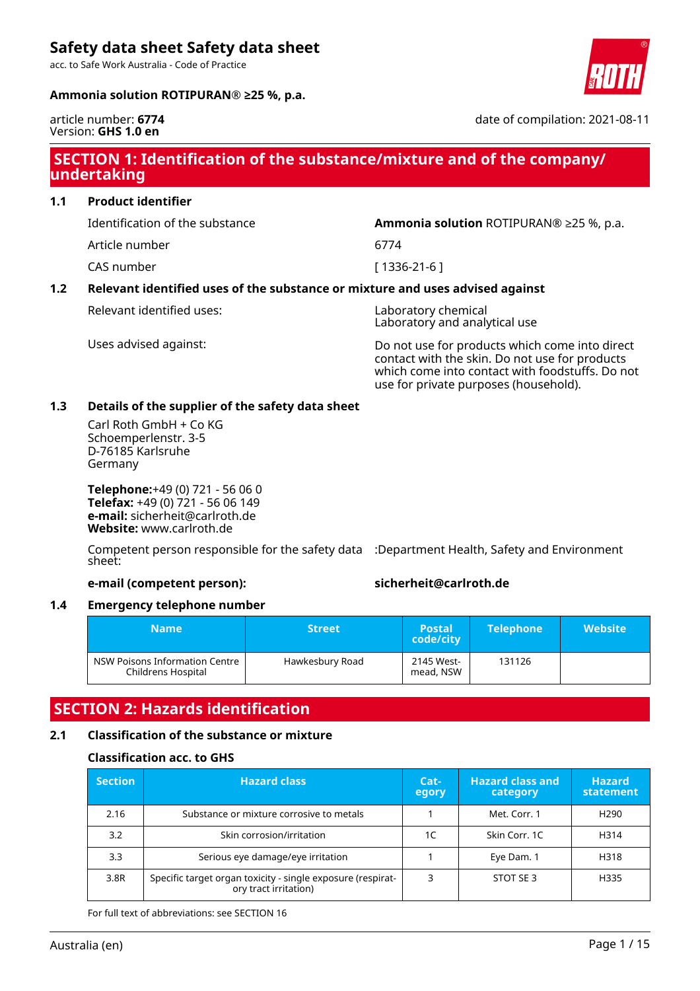acc. to Safe Work Australia - Code of Practice

# **Ammonia solution ROTIPURAN® ≥25 %, p.a.**



### article number: **6774** Version: **GHS 1.0 en**

date of compilation: 2021-08-11

# **SECTION 1: Identification of the substance/mixture and of the company/ undertaking**

**1.1 Product identifier**

Article number 6774

CAS number [ 1336-21-6 ]

Identification of the substance **Ammonia solution** ROTIPURAN® ≥25 %, p.a.

# **1.2 Relevant identified uses of the substance or mixture and uses advised against**

Relevant identified uses: Laboratory chemical

Laboratory and analytical use

Uses advised against: Do not use for products which come into direct contact with the skin. Do not use for products which come into contact with foodstuffs. Do not use for private purposes (household).

# **1.3 Details of the supplier of the safety data sheet**

Carl Roth GmbH + Co KG Schoemperlenstr. 3-5 D-76185 Karlsruhe Germany

**Telephone:**+49 (0) 721 - 56 06 0 **Telefax:** +49 (0) 721 - 56 06 149 **e-mail:** sicherheit@carlroth.de **Website:** www.carlroth.de

Competent person responsible for the safety data :Department Health, Safety and Environment sheet:

# **e-mail (competent person): sicherheit@carlroth.de**

# **1.4 Emergency telephone number**

| Name                                                 | <b>Street</b>   | <b>Postal</b><br>code/city | <b>Telephone</b> | <b>Website</b> |
|------------------------------------------------------|-----------------|----------------------------|------------------|----------------|
| NSW Poisons Information Centre<br>Childrens Hospital | Hawkesbury Road | 2145 West-<br>mead, NSW    | 131126           |                |

# **SECTION 2: Hazards identification**

# **2.1 Classification of the substance or mixture**

# **Classification acc. to GHS**

| <b>Section</b> | <b>Hazard class</b>                                                                  | Cat-<br>egory | <b>Hazard class and</b><br>category | <b>Hazard</b><br>statement |
|----------------|--------------------------------------------------------------------------------------|---------------|-------------------------------------|----------------------------|
| 2.16           | Substance or mixture corrosive to metals                                             |               | Met. Corr. 1                        | H <sub>290</sub>           |
| 3.2            | Skin corrosion/irritation                                                            | 1C            | Skin Corr. 1C                       | H314                       |
| 3.3            | Serious eye damage/eye irritation                                                    |               | Eye Dam. 1                          | H318                       |
| 3.8R           | Specific target organ toxicity - single exposure (respirat-<br>ory tract irritation) |               | STOT SE3                            | H335                       |

For full text of abbreviations: see SECTION 16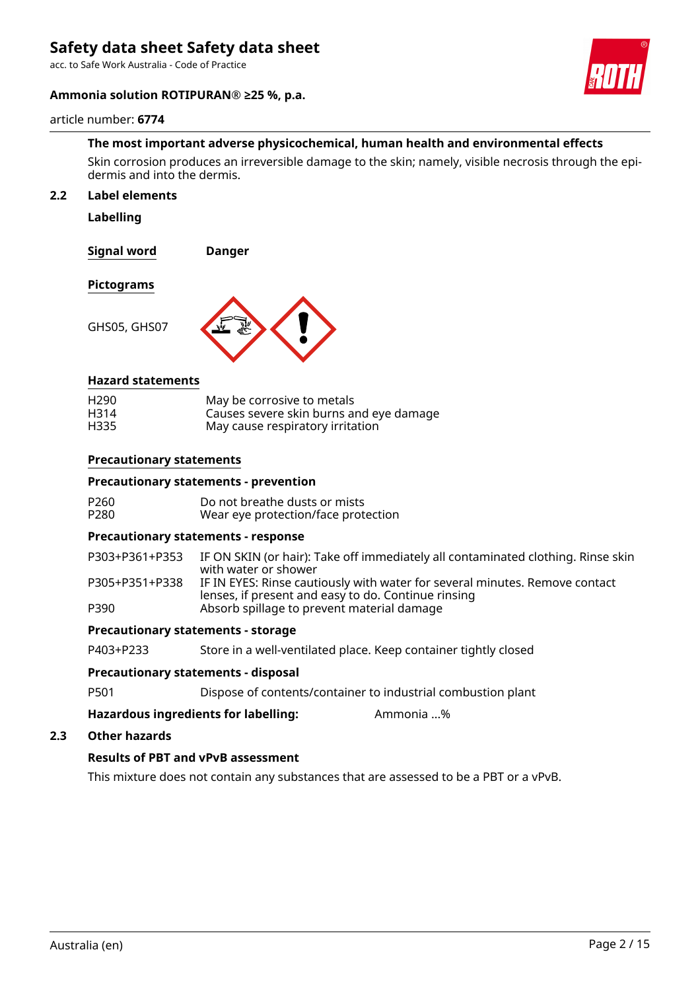acc. to Safe Work Australia - Code of Practice

# **Ammonia solution ROTIPURAN® ≥25 %, p.a.**

#### article number: **6774**

# **The most important adverse physicochemical, human health and environmental effects**

Skin corrosion produces an irreversible damage to the skin; namely, visible necrosis through the epidermis and into the dermis.

#### **2.2 Label elements**

**Labelling**

**Signal word Danger**

**Pictograms**

GHS05, GHS07



### **Hazard statements**

| H <sub>290</sub> | May be corrosive to metals              |
|------------------|-----------------------------------------|
| H314             | Causes severe skin burns and eye damage |
| H335             | May cause respiratory irritation        |

### **Precautionary statements**

#### **Precautionary statements - prevention**

| P <sub>260</sub> | Do not breathe dusts or mists       |
|------------------|-------------------------------------|
| P280             | Wear eye protection/face protection |

# **Precautionary statements - response**

P303+P361+P353 IF ON SKIN (or hair): Take off immediately all contaminated clothing. Rinse skin with water or shower P305+P351+P338 IF IN EYES: Rinse cautiously with water for several minutes. Remove contact lenses, if present and easy to do. Continue rinsing P390 Absorb spillage to prevent material damage

#### **Precautionary statements - storage**

P403+P233 Store in a well-ventilated place. Keep container tightly closed

#### **Precautionary statements - disposal**

P501 Dispose of contents/container to industrial combustion plant

**Hazardous ingredients for labelling:** Ammonia ...%

# **2.3 Other hazards**

# **Results of PBT and vPvB assessment**

This mixture does not contain any substances that are assessed to be a PBT or a vPvB.



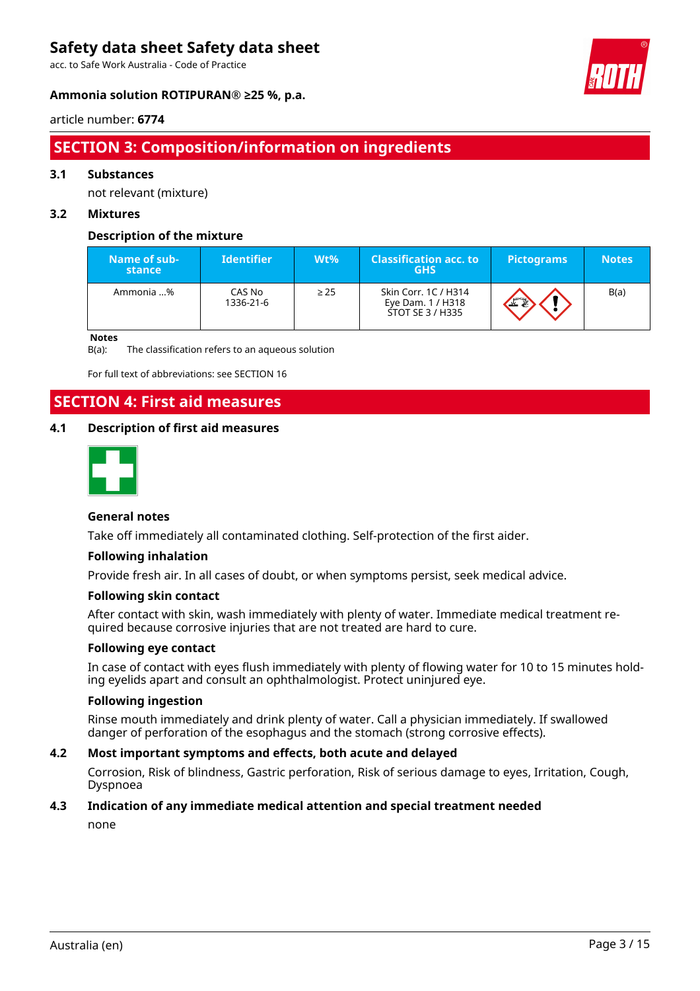acc. to Safe Work Australia - Code of Practice



# **Ammonia solution ROTIPURAN® ≥25 %, p.a.**

# article number: **6774**

# **SECTION 3: Composition/information on ingredients**

# **3.1 Substances**

not relevant (mixture)

# **3.2 Mixtures**

# **Description of the mixture**

| Name of sub-<br>stance | <b>Identifier</b>   | Wt%       | <b>Classification acc. to</b><br><b>GHS</b>                   | <b>Pictograms</b> | <b>Notes</b> |
|------------------------|---------------------|-----------|---------------------------------------------------------------|-------------------|--------------|
| Ammonia %              | CAS No<br>1336-21-6 | $\geq$ 25 | Skin Corr. 1C / H314<br>Eye Dam. 1 / H318<br>STOT SE 3 / H335 |                   | B(a)         |

**Notes**

B(a): The classification refers to an aqueous solution

For full text of abbreviations: see SECTION 16

# **SECTION 4: First aid measures**

# **4.1 Description of first aid measures**



# **General notes**

Take off immediately all contaminated clothing. Self-protection of the first aider.

# **Following inhalation**

Provide fresh air. In all cases of doubt, or when symptoms persist, seek medical advice.

# **Following skin contact**

After contact with skin, wash immediately with plenty of water. Immediate medical treatment required because corrosive injuries that are not treated are hard to cure.

# **Following eye contact**

In case of contact with eyes flush immediately with plenty of flowing water for 10 to 15 minutes holding eyelids apart and consult an ophthalmologist. Protect uninjured eye.

# **Following ingestion**

Rinse mouth immediately and drink plenty of water. Call a physician immediately. If swallowed danger of perforation of the esophagus and the stomach (strong corrosive effects).

# **4.2 Most important symptoms and effects, both acute and delayed**

Corrosion, Risk of blindness, Gastric perforation, Risk of serious damage to eyes, Irritation, Cough, Dyspnoea

# **4.3 Indication of any immediate medical attention and special treatment needed**

none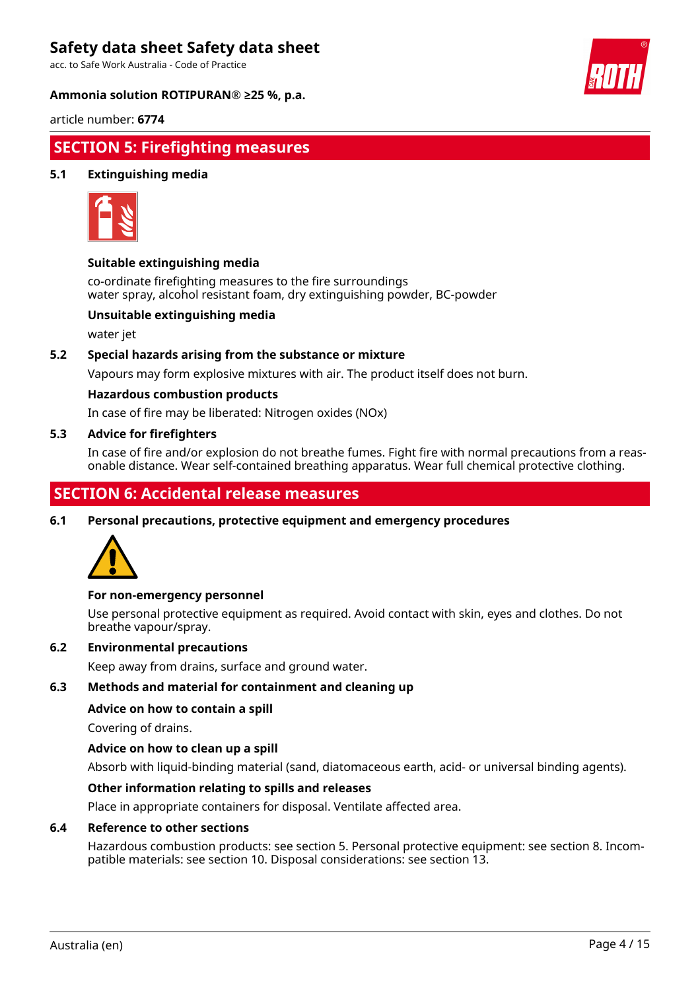acc. to Safe Work Australia - Code of Practice

### **Ammonia solution ROTIPURAN® ≥25 %, p.a.**



article number: **6774**

# **SECTION 5: Firefighting measures**

# **5.1 Extinguishing media**



# **Suitable extinguishing media**

co-ordinate firefighting measures to the fire surroundings water spray, alcohol resistant foam, dry extinguishing powder, BC-powder

# **Unsuitable extinguishing media**

water jet

# **5.2 Special hazards arising from the substance or mixture**

Vapours may form explosive mixtures with air. The product itself does not burn.

### **Hazardous combustion products**

In case of fire may be liberated: Nitrogen oxides (NOx)

### **5.3 Advice for firefighters**

In case of fire and/or explosion do not breathe fumes. Fight fire with normal precautions from a reasonable distance. Wear self-contained breathing apparatus. Wear full chemical protective clothing.

# **SECTION 6: Accidental release measures**

**6.1 Personal precautions, protective equipment and emergency procedures**



# **For non-emergency personnel**

Use personal protective equipment as required. Avoid contact with skin, eyes and clothes. Do not breathe vapour/spray.

### **6.2 Environmental precautions**

Keep away from drains, surface and ground water.

# **6.3 Methods and material for containment and cleaning up**

### **Advice on how to contain a spill**

Covering of drains.

# **Advice on how to clean up a spill**

Absorb with liquid-binding material (sand, diatomaceous earth, acid- or universal binding agents).

# **Other information relating to spills and releases**

Place in appropriate containers for disposal. Ventilate affected area.

#### **6.4 Reference to other sections**

Hazardous combustion products: see section 5. Personal protective equipment: see section 8. Incompatible materials: see section 10. Disposal considerations: see section 13.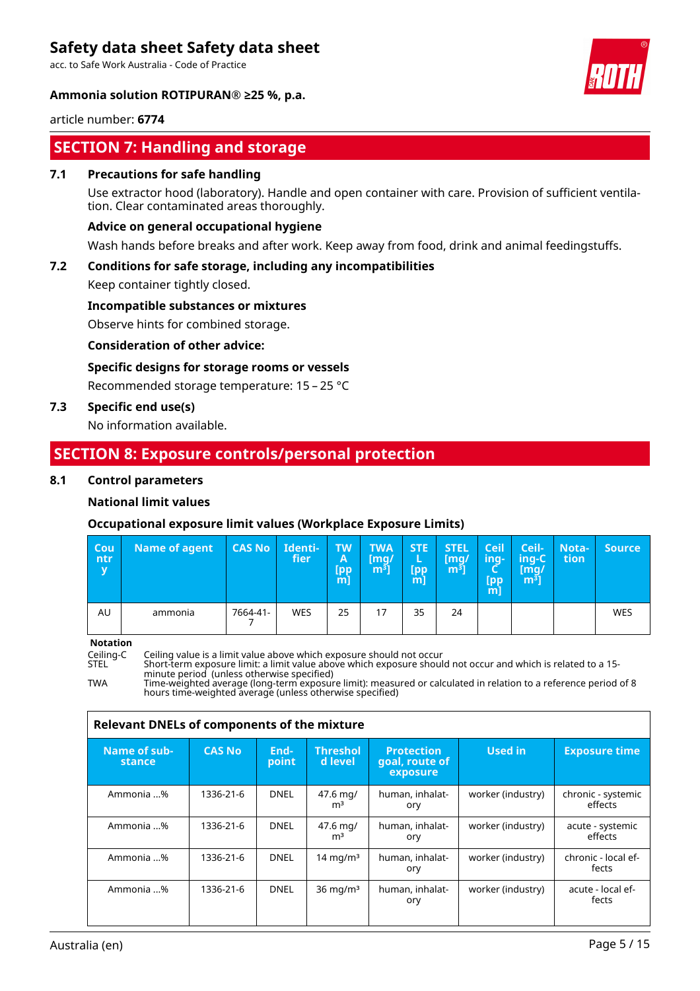acc. to Safe Work Australia - Code of Practice

### **Ammonia solution ROTIPURAN® ≥25 %, p.a.**



article number: **6774**

# **SECTION 7: Handling and storage**

# **7.1 Precautions for safe handling**

Use extractor hood (laboratory). Handle and open container with care. Provision of sufficient ventilation. Clear contaminated areas thoroughly.

### **Advice on general occupational hygiene**

Wash hands before breaks and after work. Keep away from food, drink and animal feedingstuffs.

# **7.2 Conditions for safe storage, including any incompatibilities**

Keep container tightly closed.

### **Incompatible substances or mixtures**

Observe hints for combined storage.

# **Consideration of other advice:**

# **Specific designs for storage rooms or vessels**

Recommended storage temperature: 15 – 25 °C

# **7.3 Specific end use(s)**

No information available.

# **SECTION 8: Exposure controls/personal protection**

### **8.1 Control parameters**

### **National limit values**

# **Occupational exposure limit values (Workplace Exposure Limits)**

| Cou<br>/ ntr<br>$\overline{\mathbf{V}}$ | <b>Name of agent</b> | CAS No   | Identi-<br>fier | <b>TW</b><br>A<br>[pp<br>$m$ ] | <b>TWA</b><br>[mq/<br>m <sup>3</sup> | <b>STE</b><br>L<br>[pp<br>m | <b>STEL</b><br>[mq/<br>$[m^3]$ | Ceil<br>/inq-<br>[pp<br>m] | Ceil-<br>ing-C<br>[mg/<br>[m <sup>3</sup> ] | Nota-<br>tion | <b>Source</b> |
|-----------------------------------------|----------------------|----------|-----------------|--------------------------------|--------------------------------------|-----------------------------|--------------------------------|----------------------------|---------------------------------------------|---------------|---------------|
| AU                                      | ammonia              | 7664-41- | <b>WES</b>      | 25                             | 17                                   | 35                          | 24                             |                            |                                             |               | WES           |

**Notation**

Ceiling-C Ceiling value is a limit value above which exposure should not occur

STEL Short-term exposure limit: a limit value above which exposure should not occur and which is related to a 15 minute period (unless otherwise specified) TWA Time-weighted average (long-term exposure limit): measured or calculated in relation to a reference period of 8

hours time-weighted average (unless otherwise specified)

|                        | <b>Relevant DNELs of components of the mixture</b> |               |                            |                                                 |                   |                               |  |  |
|------------------------|----------------------------------------------------|---------------|----------------------------|-------------------------------------------------|-------------------|-------------------------------|--|--|
| Name of sub-<br>stance | <b>CAS No</b>                                      | End-<br>point | <b>Threshol</b><br>d level | <b>Protection</b><br>goal, route of<br>exposure | Used in           | <b>Exposure time</b>          |  |  |
| Ammonia %              | 1336-21-6                                          | <b>DNEL</b>   | 47.6 mg/<br>m <sup>3</sup> | human, inhalat-<br>ory                          | worker (industry) | chronic - systemic<br>effects |  |  |
| Ammonia %              | 1336-21-6                                          | <b>DNEL</b>   | 47.6 mg/<br>m <sup>3</sup> | human, inhalat-<br>ory                          | worker (industry) | acute - systemic<br>effects   |  |  |
| Ammonia %              | 1336-21-6                                          | <b>DNEL</b>   | $14 \text{ mg/m}^3$        | human, inhalat-<br>ory                          | worker (industry) | chronic - local ef-<br>fects  |  |  |
| Ammonia %              | 1336-21-6                                          | DNEL          | $36 \text{ mg/m}^3$        | human, inhalat-<br>ory                          | worker (industry) | acute - local ef-<br>fects    |  |  |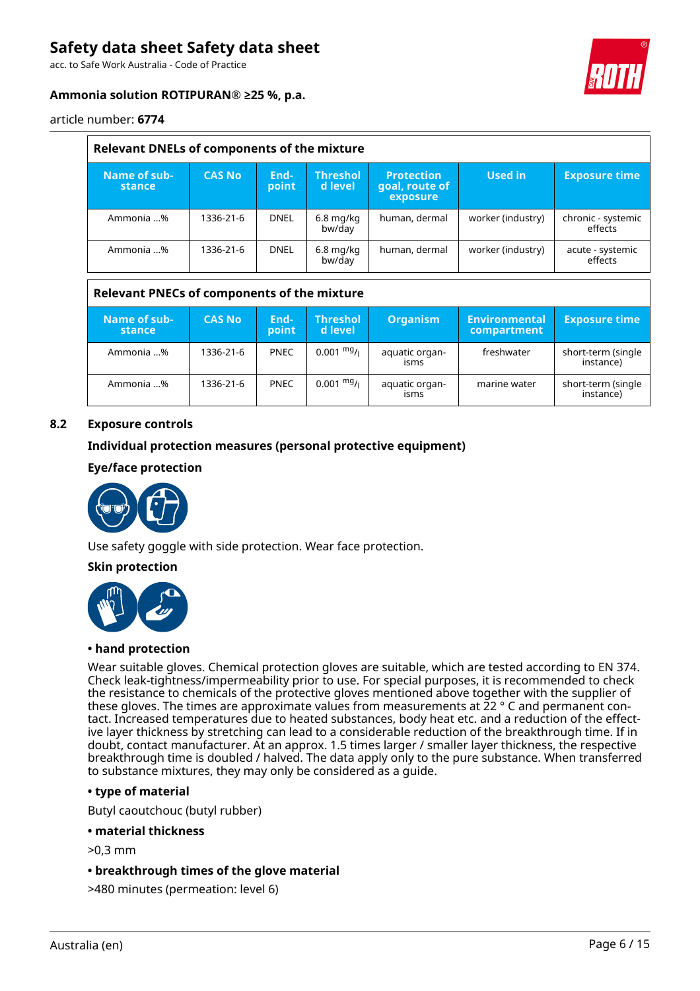acc. to Safe Work Australia - Code of Practice

# **Ammonia solution ROTIPURAN® ≥25 %, p.a.**



article number: **6774**

| Relevant DNELs of components of the mixture |               |               |                            |                                                 |                   |                               |  |  |
|---------------------------------------------|---------------|---------------|----------------------------|-------------------------------------------------|-------------------|-------------------------------|--|--|
| Name of sub-<br>stance                      | <b>CAS No</b> | End-<br>point | <b>Threshol</b><br>d level | <b>Protection</b><br>goal, route of<br>exposure | Used in           | <b>Exposure time</b>          |  |  |
| Ammonia %                                   | 1336-21-6     | <b>DNEL</b>   | $6.8$ mg/kg<br>bw/day      | human, dermal                                   | worker (industry) | chronic - systemic<br>effects |  |  |
| Ammonia %                                   | 1336-21-6     | <b>DNEL</b>   | $6.8$ mg/kg<br>bw/day      | human, dermal                                   | worker (industry) | acute - systemic<br>effects   |  |  |

# **Relevant PNECs of components of the mixture**

| Name of sub-<br>stance | <b>CAS No</b> | End-<br>point | <b>Threshol</b><br>d level                 | <b>Organism</b>        | Environmental<br>compartment | <b>Exposure time</b>            |
|------------------------|---------------|---------------|--------------------------------------------|------------------------|------------------------------|---------------------------------|
| Ammonia %              | 1336-21-6     | <b>PNEC</b>   | $0.001 \frac{mg}{L}$                       | aquatic organ-<br>isms | freshwater                   | short-term (single<br>instance) |
| Ammonia %              | 1336-21-6     | <b>PNEC</b>   | $0.001$ $\mathrm{^{mg}}$ / $\mathrm{_{l}}$ | aquatic organ-<br>isms | marine water                 | short-term (single<br>instance) |

# **8.2 Exposure controls**

# **Individual protection measures (personal protective equipment)**

# **Eye/face protection**



Use safety goggle with side protection. Wear face protection.

# **Skin protection**



#### **• hand protection**

Wear suitable gloves. Chemical protection gloves are suitable, which are tested according to EN 374. Check leak-tightness/impermeability prior to use. For special purposes, it is recommended to check the resistance to chemicals of the protective gloves mentioned above together with the supplier of these gloves. The times are approximate values from measurements at 22 ° C and permanent contact. Increased temperatures due to heated substances, body heat etc. and a reduction of the effective layer thickness by stretching can lead to a considerable reduction of the breakthrough time. If in doubt, contact manufacturer. At an approx. 1.5 times larger / smaller layer thickness, the respective breakthrough time is doubled / halved. The data apply only to the pure substance. When transferred to substance mixtures, they may only be considered as a guide.

# **• type of material**

Butyl caoutchouc (butyl rubber)

#### **• material thickness**

>0,3 mm

**• breakthrough times of the glove material**

>480 minutes (permeation: level 6)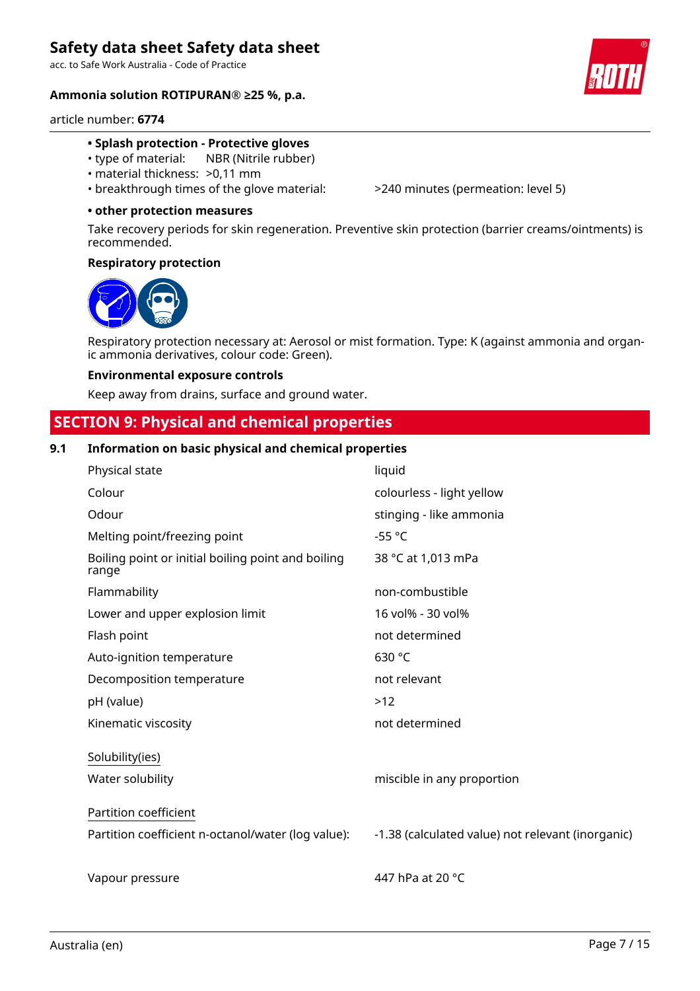acc. to Safe Work Australia - Code of Practice

# **Ammonia solution ROTIPURAN® ≥25 %, p.a.**



article number: **6774**

# **• Splash protection - Protective gloves**

- type of material: NBR (Nitrile rubber)
- material thickness: >0,11 mm
- breakthrough times of the glove material: >240 minutes (permeation: level 5)

### **• other protection measures**

Take recovery periods for skin regeneration. Preventive skin protection (barrier creams/ointments) is recommended.

### **Respiratory protection**



Respiratory protection necessary at: Aerosol or mist formation. Type: K (against ammonia and organic ammonia derivatives, colour code: Green).

### **Environmental exposure controls**

Keep away from drains, surface and ground water.

# **SECTION 9: Physical and chemical properties**

# **9.1 Information on basic physical and chemical properties**

| Physical state                                              | liquid                                            |
|-------------------------------------------------------------|---------------------------------------------------|
| Colour                                                      | colourless - light yellow                         |
| Odour                                                       | stinging - like ammonia                           |
| Melting point/freezing point                                | $-55 °C$                                          |
| Boiling point or initial boiling point and boiling<br>range | 38 °C at 1,013 mPa                                |
| Flammability                                                | non-combustible                                   |
| Lower and upper explosion limit                             | 16 vol% - 30 vol%                                 |
| Flash point                                                 | not determined                                    |
| Auto-ignition temperature                                   | 630 °C                                            |
| Decomposition temperature                                   | not relevant                                      |
| pH (value)                                                  | >12                                               |
| Kinematic viscosity                                         | not determined                                    |
| Solubility(ies)                                             |                                                   |
| Water solubility                                            | miscible in any proportion                        |
| Partition coefficient                                       |                                                   |
| Partition coefficient n-octanol/water (log value):          | -1.38 (calculated value) not relevant (inorganic) |
|                                                             |                                                   |
| Vapour pressure                                             | 447 hPa at 20 °C                                  |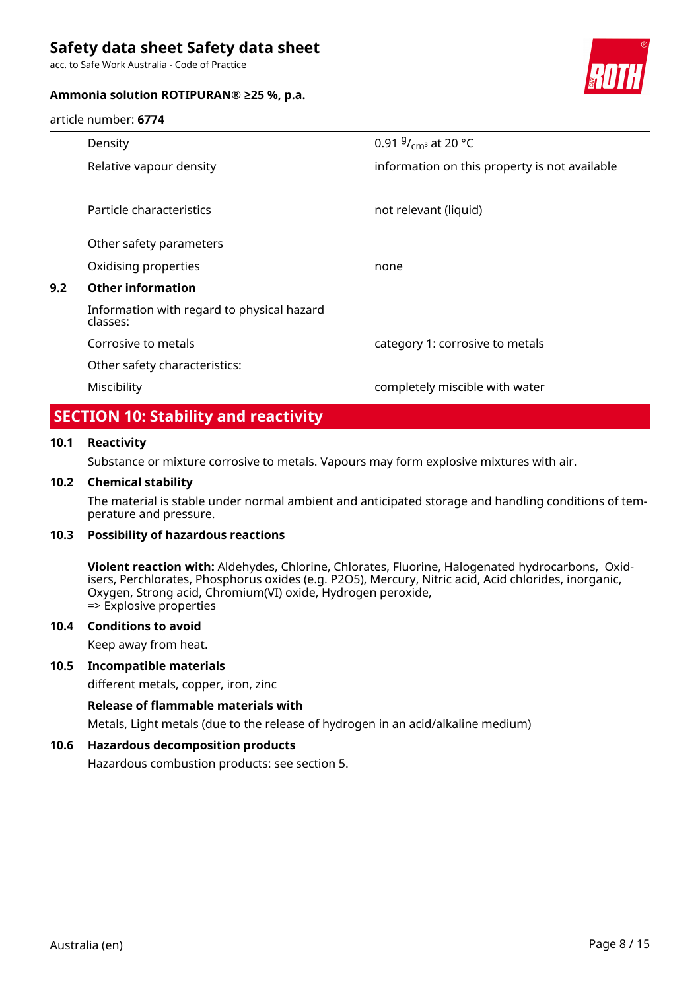acc. to Safe Work Australia - Code of Practice

# **Ammonia solution ROTIPURAN® ≥25 %, p.a.**



article number: **6774**

| Density                                                | 0.91 $9/_{cm^3}$ at 20 °C                     |
|--------------------------------------------------------|-----------------------------------------------|
| Relative vapour density                                | information on this property is not available |
|                                                        |                                               |
| Particle characteristics                               | not relevant (liquid)                         |
| Other safety parameters                                |                                               |
| Oxidising properties                                   | none                                          |
| <b>Other information</b>                               |                                               |
| Information with regard to physical hazard<br>classes: |                                               |
| Corrosive to metals                                    | category 1: corrosive to metals               |
| Other safety characteristics:                          |                                               |
| Miscibility                                            | completely miscible with water                |
|                                                        |                                               |

# **SECTION 10: Stability and reactivity**

# **10.1 Reactivity**

**9.2 Other information**

Substance or mixture corrosive to metals. Vapours may form explosive mixtures with air.

# **10.2 Chemical stability**

The material is stable under normal ambient and anticipated storage and handling conditions of temperature and pressure.

### **10.3 Possibility of hazardous reactions**

**Violent reaction with:** Aldehydes, Chlorine, Chlorates, Fluorine, Halogenated hydrocarbons, Oxidisers, Perchlorates, Phosphorus oxides (e.g. P2O5), Mercury, Nitric acid, Acid chlorides, inorganic, Oxygen, Strong acid, Chromium(VI) oxide, Hydrogen peroxide, => Explosive properties

#### **10.4 Conditions to avoid**

Keep away from heat.

# **10.5 Incompatible materials**

different metals, copper, iron, zinc

#### **Release of flammable materials with**

Metals, Light metals (due to the release of hydrogen in an acid/alkaline medium)

# **10.6 Hazardous decomposition products**

Hazardous combustion products: see section 5.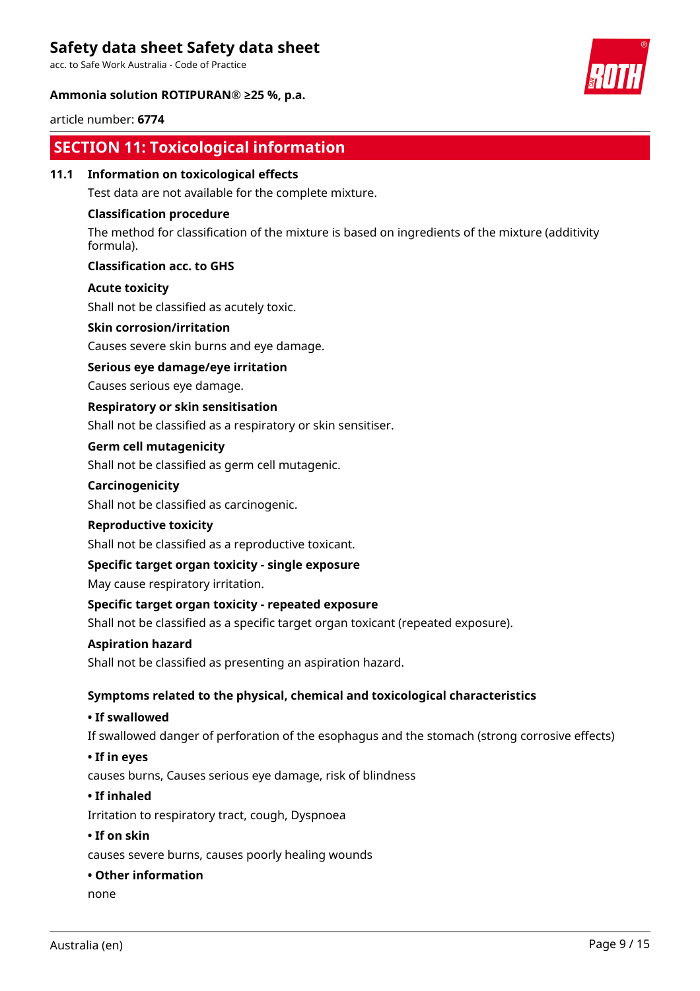acc. to Safe Work Australia - Code of Practice

# **Ammonia solution ROTIPURAN® ≥25 %, p.a.**

article number: **6774**

# **SECTION 11: Toxicological information**

**11.1 Information on toxicological effects**

Test data are not available for the complete mixture.

# **Classification procedure**

The method for classification of the mixture is based on ingredients of the mixture (additivity formula).

# **Classification acc. to GHS**

# **Acute toxicity**

Shall not be classified as acutely toxic.

# **Skin corrosion/irritation**

Causes severe skin burns and eye damage.

# **Serious eye damage/eye irritation**

Causes serious eye damage.

# **Respiratory or skin sensitisation**

Shall not be classified as a respiratory or skin sensitiser.

# **Germ cell mutagenicity**

Shall not be classified as germ cell mutagenic.

### **Carcinogenicity**

Shall not be classified as carcinogenic.

#### **Reproductive toxicity**

Shall not be classified as a reproductive toxicant.

# **Specific target organ toxicity - single exposure**

May cause respiratory irritation.

# **Specific target organ toxicity - repeated exposure**

Shall not be classified as a specific target organ toxicant (repeated exposure).

#### **Aspiration hazard**

Shall not be classified as presenting an aspiration hazard.

# **Symptoms related to the physical, chemical and toxicological characteristics**

# **• If swallowed**

If swallowed danger of perforation of the esophagus and the stomach (strong corrosive effects)

#### **• If in eyes**

causes burns, Causes serious eye damage, risk of blindness

#### **• If inhaled**

Irritation to respiratory tract, cough, Dyspnoea

### **• If on skin**

causes severe burns, causes poorly healing wounds

#### **• Other information**

none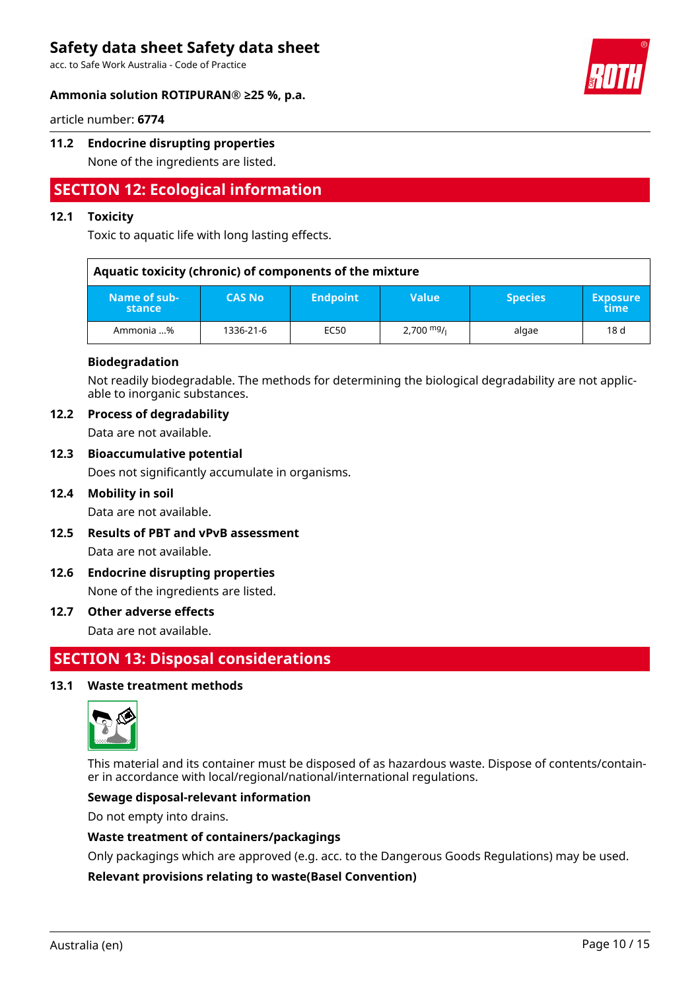acc. to Safe Work Australia - Code of Practice

### **Ammonia solution ROTIPURAN® ≥25 %, p.a.**



article number: **6774**

# **11.2 Endocrine disrupting properties**

None of the ingredients are listed.

# **SECTION 12: Ecological information**

# **12.1 Toxicity**

Toxic to aquatic life with long lasting effects.

| Aquatic toxicity (chronic) of components of the mixture |               |                 |                                      |                |                         |  |  |  |
|---------------------------------------------------------|---------------|-----------------|--------------------------------------|----------------|-------------------------|--|--|--|
| Name of sub-<br>stance                                  | <b>CAS No</b> | <b>Endpoint</b> | <b>Value</b>                         | <b>Species</b> | <b>Exposure</b><br>time |  |  |  |
| Ammonia %                                               | 1336-21-6     | EC50            | $2,700$ <sup>mg</sup> / <sub>l</sub> | algae          | 18d                     |  |  |  |

### **Biodegradation**

Not readily biodegradable. The methods for determining the biological degradability are not applicable to inorganic substances.

### **12.2 Process of degradability**

Data are not available.

# **12.3 Bioaccumulative potential**

Does not significantly accumulate in organisms.

**12.4 Mobility in soil**

Data are not available.

- **12.5 Results of PBT and vPvB assessment** Data are not available.
- **12.6 Endocrine disrupting properties** None of the ingredients are listed.

#### **12.7 Other adverse effects**

Data are not available.

# **SECTION 13: Disposal considerations**

#### **13.1 Waste treatment methods**



This material and its container must be disposed of as hazardous waste. Dispose of contents/container in accordance with local/regional/national/international regulations.

# **Sewage disposal-relevant information**

Do not empty into drains.

#### **Waste treatment of containers/packagings**

Only packagings which are approved (e.g. acc. to the Dangerous Goods Regulations) may be used.

# **Relevant provisions relating to waste(Basel Convention)**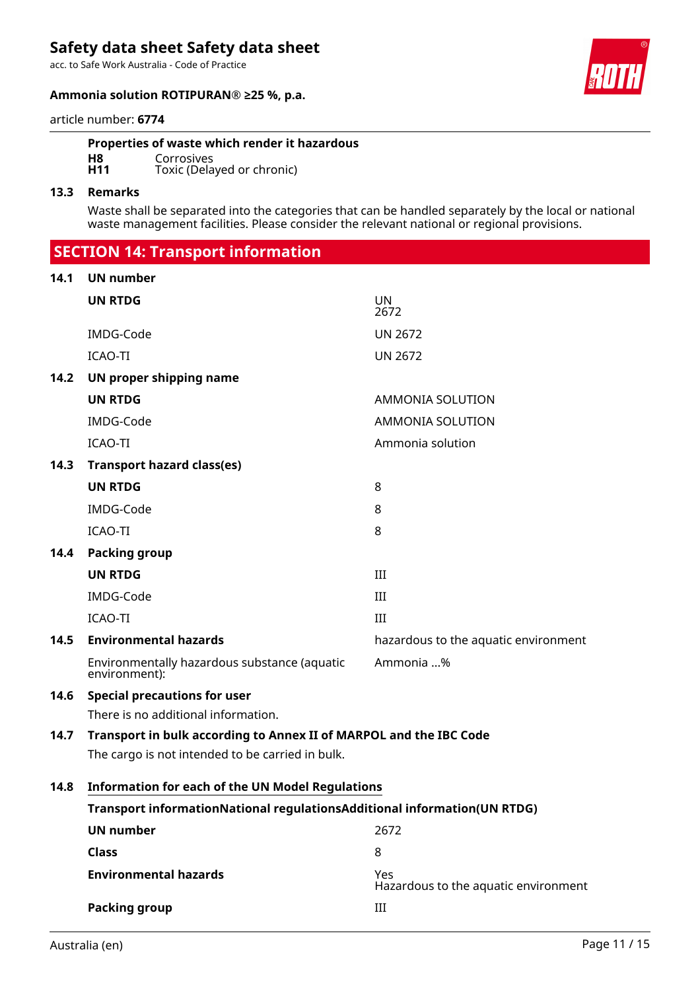acc. to Safe Work Australia - Code of Practice

### **Ammonia solution ROTIPURAN® ≥25 %, p.a.**



article number: **6774**

### **Properties of waste which render it hazardous**

**H8** Corrosives<br> **H11** Toxic (Dela Toxic (Delayed or chronic)

# **13.3 Remarks**

Waste shall be separated into the categories that can be handled separately by the local or national waste management facilities. Please consider the relevant national or regional provisions.

| <b>SECTION 14: Transport information</b> |  |  |
|------------------------------------------|--|--|

### **14.1 UN number**

|      | <b>UN RTDG</b>                                                                                                         | <b>UN</b><br>2672                           |
|------|------------------------------------------------------------------------------------------------------------------------|---------------------------------------------|
|      | IMDG-Code                                                                                                              | <b>UN 2672</b>                              |
|      | <b>ICAO-TI</b>                                                                                                         | <b>UN 2672</b>                              |
| 14.2 | UN proper shipping name                                                                                                |                                             |
|      | <b>UN RTDG</b>                                                                                                         | AMMONIA SOLUTION                            |
|      | IMDG-Code                                                                                                              | <b>AMMONIA SOLUTION</b>                     |
|      | <b>ICAO-TI</b>                                                                                                         | Ammonia solution                            |
| 14.3 | <b>Transport hazard class(es)</b>                                                                                      |                                             |
|      | <b>UN RTDG</b>                                                                                                         | 8                                           |
|      | IMDG-Code                                                                                                              | 8                                           |
|      | <b>ICAO-TI</b>                                                                                                         | 8                                           |
| 14.4 | <b>Packing group</b>                                                                                                   |                                             |
|      | <b>UN RTDG</b>                                                                                                         | III                                         |
|      | IMDG-Code                                                                                                              | III                                         |
|      | <b>ICAO-TI</b>                                                                                                         | III                                         |
| 14.5 | <b>Environmental hazards</b>                                                                                           | hazardous to the aquatic environment        |
|      | Environmentally hazardous substance (aquatic<br>environment):                                                          | Ammonia %                                   |
| 14.6 | <b>Special precautions for user</b>                                                                                    |                                             |
|      | There is no additional information.                                                                                    |                                             |
| 14.7 | Transport in bulk according to Annex II of MARPOL and the IBC Code<br>The cargo is not intended to be carried in bulk. |                                             |
| 14.8 | <b>Information for each of the UN Model Regulations</b>                                                                |                                             |
|      | Transport informationNational regulationsAdditional information(UN RTDG)                                               |                                             |
|      | <b>UN number</b>                                                                                                       | 2672                                        |
|      | <b>Class</b>                                                                                                           | 8                                           |
|      | <b>Environmental hazards</b>                                                                                           | Yes<br>Hazardous to the aquatic environment |
|      | <b>Packing group</b>                                                                                                   | III                                         |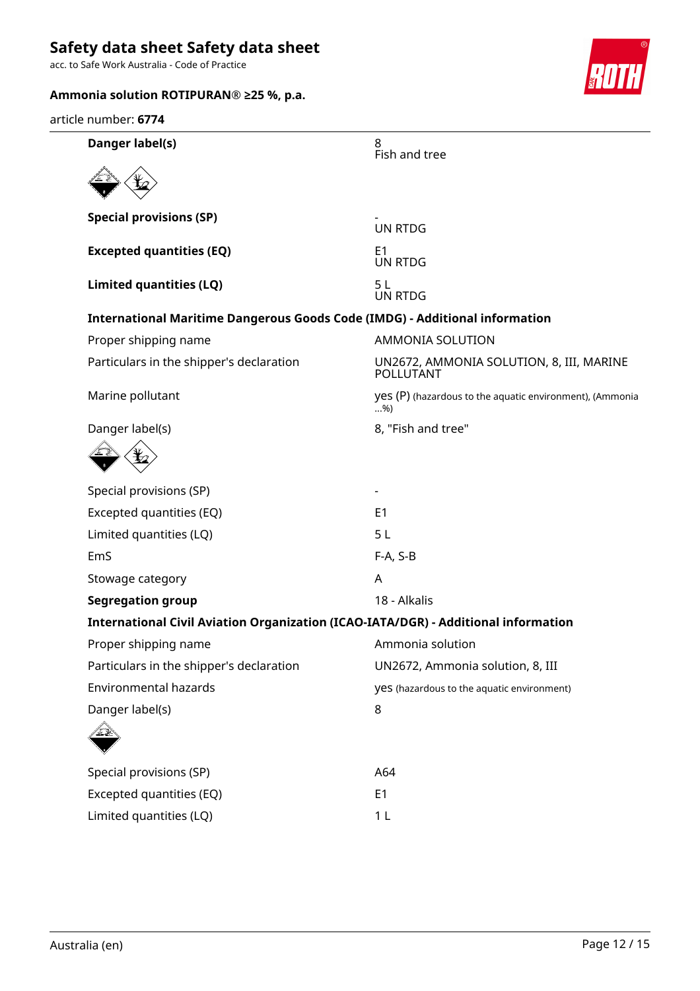acc. to Safe Work Australia - Code of Practice



**Danger label(s)** 8 Fish and tree **Special provisions (SP)** UN RTDG **Excepted quantities (EQ)** E1 UN RTDG **Limited quantities (LQ)** 5 L UN RTDG **International Maritime Dangerous Goods Code (IMDG) - Additional information** Proper shipping name AMMONIA SOLUTION Particulars in the shipper's declaration UN2672, AMMONIA SOLUTION, 8, III, MARINE POLLUTANT Marine pollutant yes (P) (hazardous to the aquatic environment), (Ammonia  $.96$ Danger label(s) and the same state of the Same S and tree and tree state of the S and tree state of the S and tree state of the S and tree state of the S and tree state of the S and tree state of the S and tree state of th Special provisions (SP) Excepted quantities (EQ) E1 Limited quantities (LQ) 5 L EmS F-A, S-B Stowage category **A Segregation group** 18 - Alkalis **International Civil Aviation Organization (ICAO-IATA/DGR) - Additional information** Proper shipping name Ammonia solution Particulars in the shipper's declaration UN2672, Ammonia solution, 8, III Environmental hazards yes (hazardous to the aquatic environment) Danger label(s) 8 Special provisions (SP) and the contract of the A64 Excepted quantities (EQ) E1 Limited quantities (LQ) 1 L article number: **6774**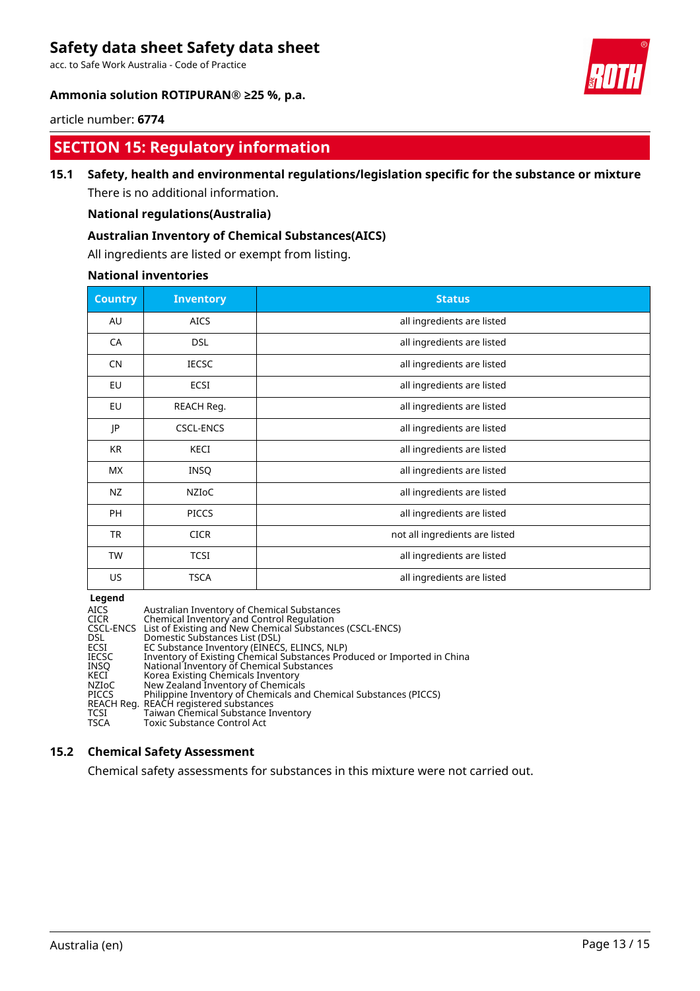acc. to Safe Work Australia - Code of Practice

# **Ammonia solution ROTIPURAN® ≥25 %, p.a.**



### article number: **6774**

# **SECTION 15: Regulatory information**

# **15.1 Safety, health and environmental regulations/legislation specific for the substance or mixture**

There is no additional information.

# **National regulations(Australia)**

# **Australian Inventory of Chemical Substances(AICS)**

All ingredients are listed or exempt from listing.

### **National inventories**

| <b>Country</b> | <b>Inventory</b> | <b>Status</b>                  |
|----------------|------------------|--------------------------------|
| AU             | <b>AICS</b>      | all ingredients are listed     |
| CA             | <b>DSL</b>       | all ingredients are listed     |
| <b>CN</b>      | <b>IECSC</b>     | all ingredients are listed     |
| EU             | ECSI             | all ingredients are listed     |
| EU             | REACH Reg.       | all ingredients are listed     |
| JP             | <b>CSCL-ENCS</b> | all ingredients are listed     |
| <b>KR</b>      | KECI             | all ingredients are listed     |
| <b>MX</b>      | INSQ             | all ingredients are listed     |
| NZ             | <b>NZIOC</b>     | all ingredients are listed     |
| <b>PH</b>      | <b>PICCS</b>     | all ingredients are listed     |
| <b>TR</b>      | <b>CICR</b>      | not all ingredients are listed |
| <b>TW</b>      | <b>TCSI</b>      | all ingredients are listed     |
| US             | <b>TSCA</b>      | all ingredients are listed     |

# **Legend**

| <b>AICS</b>  | Australian Inventory of Chemical Substances                             |
|--------------|-------------------------------------------------------------------------|
| <b>CICR</b>  | Chemical Inventory and Control Regulation                               |
|              | CSCL-ENCS List of Existing and New Chemical Substances (CSCL-ENCS)      |
| DSL.         | Domestic Substances List (DSL)                                          |
| ECSI         | EC Substance Inventory (EINECS, ELINCS, NLP)                            |
| <b>IECSC</b> | Inventory of Existing Chemical Substances Produced or Imported in China |
| <b>INSO</b>  | National Inventory of Chemical Substances                               |
| KECI         | Korea Existing Chemicals Inventory                                      |
| NZIoC        | New Zealand Inventory of Chemicals                                      |
| <b>PICCS</b> | Philippine Inventory of Chemicals and Chemical Substances (PICCS)       |
|              | REACH Reg. REACH registered substances                                  |
| <b>TCSI</b>  | Taiwan Chemical Substance Inventory                                     |
| <b>TSCA</b>  | <b>Toxic Substance Control Act</b>                                      |
|              |                                                                         |

# **15.2 Chemical Safety Assessment**

Chemical safety assessments for substances in this mixture were not carried out.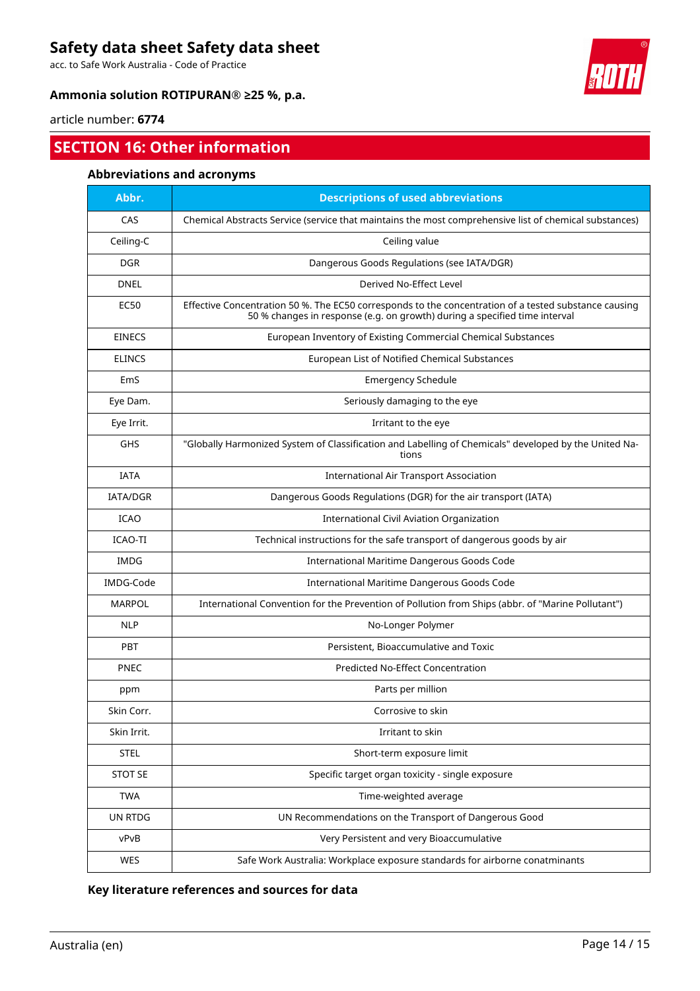acc. to Safe Work Australia - Code of Practice

# **Ammonia solution ROTIPURAN® ≥25 %, p.a.**



article number: **6774**

# **SECTION 16: Other information**

# **Abbreviations and acronyms**

| Abbr.           | <b>Descriptions of used abbreviations</b>                                                                                                                                           |
|-----------------|-------------------------------------------------------------------------------------------------------------------------------------------------------------------------------------|
| CAS             | Chemical Abstracts Service (service that maintains the most comprehensive list of chemical substances)                                                                              |
| Ceiling-C       | Ceiling value                                                                                                                                                                       |
| <b>DGR</b>      | Dangerous Goods Regulations (see IATA/DGR)                                                                                                                                          |
| <b>DNEL</b>     | Derived No-Effect Level                                                                                                                                                             |
| <b>EC50</b>     | Effective Concentration 50 %. The EC50 corresponds to the concentration of a tested substance causing<br>50 % changes in response (e.g. on growth) during a specified time interval |
| <b>EINECS</b>   | European Inventory of Existing Commercial Chemical Substances                                                                                                                       |
| <b>ELINCS</b>   | European List of Notified Chemical Substances                                                                                                                                       |
| EmS             | <b>Emergency Schedule</b>                                                                                                                                                           |
| Eye Dam.        | Seriously damaging to the eye                                                                                                                                                       |
| Eye Irrit.      | Irritant to the eye                                                                                                                                                                 |
| GHS             | "Globally Harmonized System of Classification and Labelling of Chemicals" developed by the United Na-<br>tions                                                                      |
| <b>IATA</b>     | <b>International Air Transport Association</b>                                                                                                                                      |
| <b>IATA/DGR</b> | Dangerous Goods Regulations (DGR) for the air transport (IATA)                                                                                                                      |
| <b>ICAO</b>     | <b>International Civil Aviation Organization</b>                                                                                                                                    |
| ICAO-TI         | Technical instructions for the safe transport of dangerous goods by air                                                                                                             |
| <b>IMDG</b>     | International Maritime Dangerous Goods Code                                                                                                                                         |
| IMDG-Code       | International Maritime Dangerous Goods Code                                                                                                                                         |
| <b>MARPOL</b>   | International Convention for the Prevention of Pollution from Ships (abbr. of "Marine Pollutant")                                                                                   |
| <b>NLP</b>      | No-Longer Polymer                                                                                                                                                                   |
| PBT             | Persistent, Bioaccumulative and Toxic                                                                                                                                               |
| <b>PNEC</b>     | Predicted No-Effect Concentration                                                                                                                                                   |
| ppm             | Parts per million                                                                                                                                                                   |
| Skin Corr.      | Corrosive to skin                                                                                                                                                                   |
| Skin Irrit.     | Irritant to skin                                                                                                                                                                    |
| <b>STEL</b>     | Short-term exposure limit                                                                                                                                                           |
| <b>STOT SE</b>  | Specific target organ toxicity - single exposure                                                                                                                                    |
| <b>TWA</b>      | Time-weighted average                                                                                                                                                               |
| UN RTDG         | UN Recommendations on the Transport of Dangerous Good                                                                                                                               |
| vPvB            | Very Persistent and very Bioaccumulative                                                                                                                                            |
| WES             | Safe Work Australia: Workplace exposure standards for airborne conatminants                                                                                                         |

**Key literature references and sources for data**